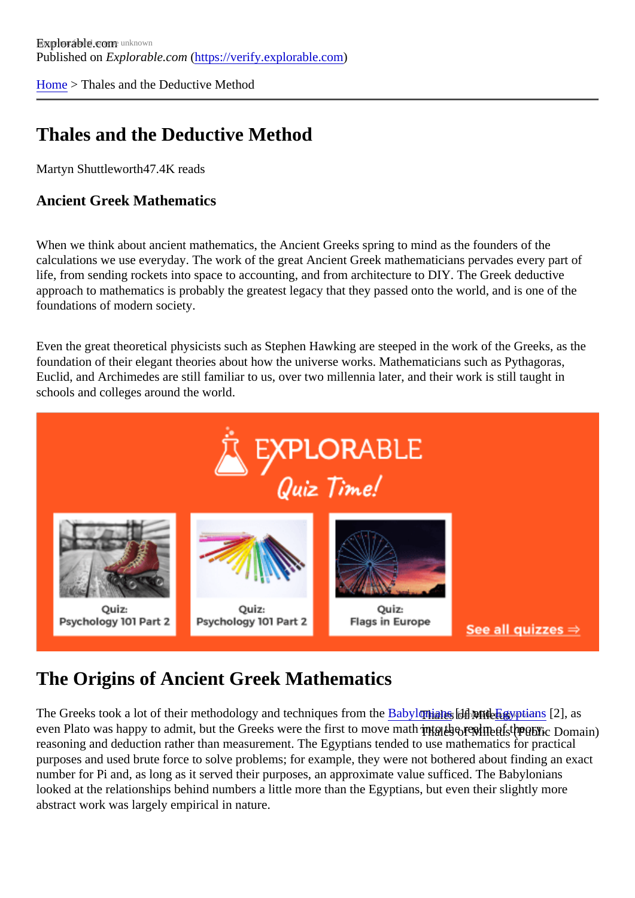[Home](https://verify.explorable.com/) > Thales and the Deductive Method

## Thales and the Deductive Method

Martyn Shuttlewort<sup>47.4K</sup> reads

Ancient Greek Mathematics

When we think about ancient mathematics, the Ancient Greeks spring to mind as the founders of the calculations we use everyday. The work of the great Ancient Greek mathematicians pervades every part o life, from sending rockets into space to accounting, and from architecture to DIY. The Greek deductive approach to mathematics is probably the greatest legacy that they passed onto the world, and is one of the foundations of modern society.

Even the great theoretical physicists such as Stephen Hawking are steeped in the work of the Greeks, as foundation of their elegant theories about how the universe works. Mathematicians such as Pythagoras, Euclid, and Archimedes are still familiar to us, over two millennia later, and their work is still taught in schools and colleges around the world.

## The Origins of Ancient Greek Mathematics

The Greeks took a lot of their methodology and techniques fro**mabylonians the mid<del>u</del>gyptians**[2], as even Plato was happy to admit, but the Greeks were the first to mov<del>ঢ</del>়া<sub></sub>nane into the reprosict the realm reasoning and deduction rather than measurement. The Egyptians tended to use mathematics for practical purposes and used brute force to solve problems; for example, they were not bothered about finding an example number for Pi and, as long as it served their purposes, an approximate value sufficed. The Babylonians looked at the relationships behind numbers a little more than the Egyptians, but even their slightly more abstract work was largely empirical in nature.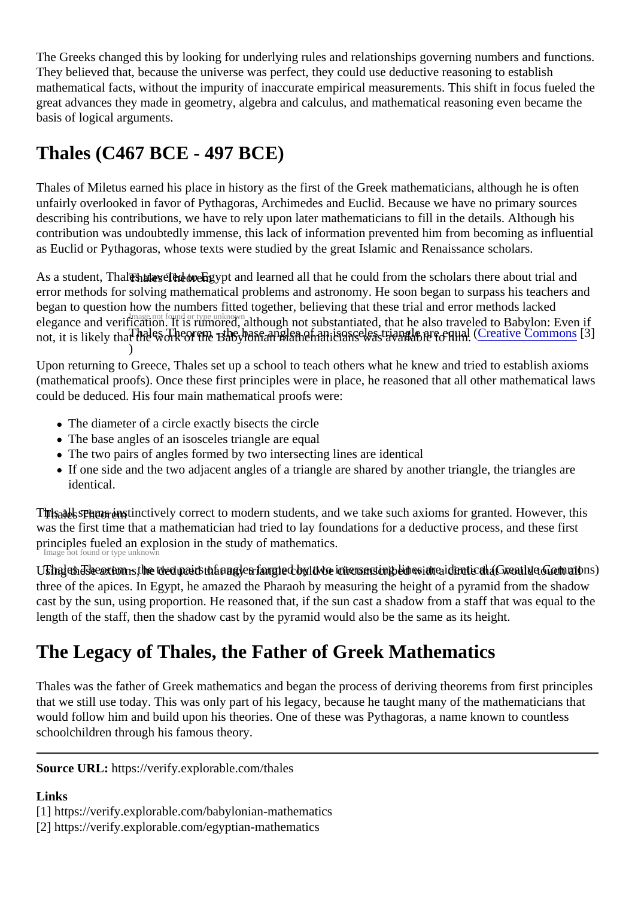The Greeks changed this by looking for underlying rules and relationships governing numbers and function They believed that, because the universe was perfect, they could use deductive reasoning to establish mathematical facts, without the impurity of inaccurate empirical measurements. This shift in focus fueled the great advances they made in geometry, algebra and calculus, and mathematical reasoning even became basis of logical arguments.

## Thales (C467 BCE - 497 BCE)

Thales of Miletus earned his place in history as the first of the Greek mathematicians, although he is often unfairly overlooked in favor of Pythagoras, Archimedes and Euclid. Because we have no primary sources describing his contributions, we have to rely upon later mathematicians to fill in the details. Although his contribution was undoubtedly immense, this lack of information prevented him from becoming as influential as Euclid or Pythagoras, whose texts were studied by the great Islamic and Renaissance scholars.

As a student, Th**बleaére veleol to**nEgypt and learned all that he could from the scholars there about trial and elegance and verification. It is rumored, although not substantiated, that he also traveled to Babylon: Even Thales Theorem - the base angles of an isosceles triangle are equal ( Commons] ) error methods for solving mathematical problems and astronomy. He soon began to surpass his teachers began to question how the numbers fitted together, believing that these trial and error methods lacked not, it is likely that the work of the Babylonian mathematicians was available to him.

Upon returning to Greece, Thales set up a school to teach others what he knew and tried to establish axio (mathematical proofs). Once these first principles were in place, he reasoned that all other mathematical la could be deduced. His four main mathematical proofs were:

- The diameter of a circle exactly bisects the circle
- The base angles of an isosceles triangle are equal
- The two pairs of angles formed by two intersecting lines are identical
- If one side and the two adjacent angles of a triangle are shared by another triangle, the triangles are identical.

Tinisatils Theorems inctively correct to modern students, and we take such axioms for granted. However, th Image not found or type unknow was the first time that a mathematician had tried to lay foundations for a deductive process, and these first principles fueled an explosion in the study of mathematics.

U5haJanJsee axoms, he two pairs of angligs formged coultwo intersenting blie osvate a dentical (Creative tGochnan three of the apices. In Egypt, he amazed the Pharaoh by measuring the height of a pyramid from the shad cast by the sun, using proportion. He reasoned that, if the sun cast a shadow from a staff that was equal to length of the staff, then the shadow cast by the pyramid would also be the same as its height.

## The Legacy of Thales, the Father of Greek Mathematics

Thales was the father of Greek mathematics and began the process of deriving theorems from first princip that we still use today. This was only part of his legacy, because he taught many of the mathematicians th would follow him and build upon his theories. One of these was Pythagoras, a name known to countless schoolchildren through his famous theory.

Source URL: https://verify.explorable.com/thales

Links

[1] https://verify.explorable.com/babylonian-mathematics

[2] https://verify.explorable.com/egyptian-mathematics